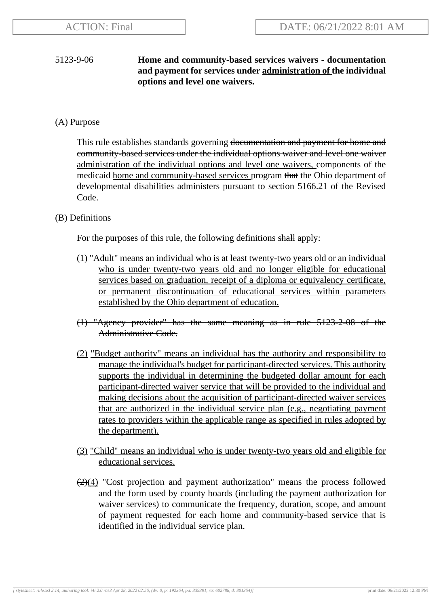# 5123-9-06 **Home and community-based services waivers - documentation and payment for services under administration of the individual options and level one waivers.**

# (A) Purpose

This rule establishes standards governing <del>documentation and payment for home and</del> community-based services under the individual options waiver and level one waiver administration of the individual options and level one waivers, components of the medicaid home and community-based services program that the Ohio department of developmental disabilities administers pursuant to section 5166.21 of the Revised Code.

# (B) Definitions

For the purposes of this rule, the following definitions shall apply:

- (1) "Adult" means an individual who is at least twenty-two years old or an individual who is under twenty-two years old and no longer eligible for educational services based on graduation, receipt of a diploma or equivalency certificate, or permanent discontinuation of educational services within parameters established by the Ohio department of education.
- (1) "Agency provider" has the same meaning as in rule 5123-2-08 of the Administrative Code.
- (2) "Budget authority" means an individual has the authority and responsibility to manage the individual's budget for participant-directed services. This authority supports the individual in determining the budgeted dollar amount for each participant-directed waiver service that will be provided to the individual and making decisions about the acquisition of participant-directed waiver services that are authorized in the individual service plan (e.g., negotiating payment rates to providers within the applicable range as specified in rules adopted by the department).
- (3) "Child" means an individual who is under twenty-two years old and eligible for educational services.
- $\left(\frac{2}{2}\right)(4)$  "Cost projection and payment authorization" means the process followed and the form used by county boards (including the payment authorization for waiver services) to communicate the frequency, duration, scope, and amount of payment requested for each home and community-based service that is identified in the individual service plan.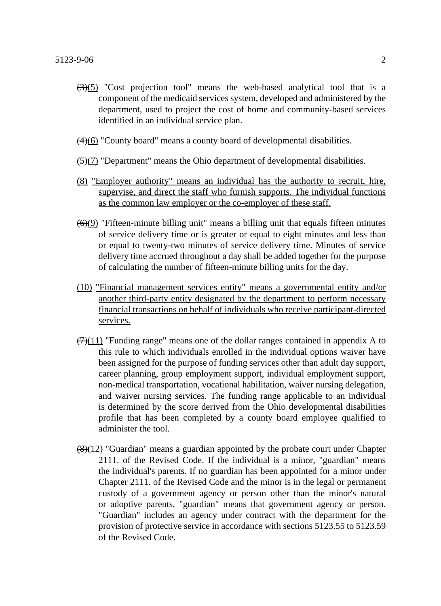- $\left(\frac{3}{5}\right)$  "Cost projection tool" means the web-based analytical tool that is a component of the medicaid services system, developed and administered by the department, used to project the cost of home and community-based services identified in an individual service plan.
- $\left(\frac{4}{6}\right)$  "County board" means a county board of developmental disabilities.
- $\left(\frac{5}{7}\right)$  "Department" means the Ohio department of developmental disabilities.
- (8) "Employer authority" means an individual has the authority to recruit, hire, supervise, and direct the staff who furnish supports. The individual functions as the common law employer or the co-employer of these staff.
- $\left(\frac{6}{9}\right)$  "Fifteen-minute billing unit" means a billing unit that equals fifteen minutes of service delivery time or is greater or equal to eight minutes and less than or equal to twenty-two minutes of service delivery time. Minutes of service delivery time accrued throughout a day shall be added together for the purpose of calculating the number of fifteen-minute billing units for the day.
- (10) "Financial management services entity" means a governmental entity and/or another third-party entity designated by the department to perform necessary financial transactions on behalf of individuals who receive participant-directed services.
- $\left(\frac{7}{11}\right)$  "Funding range" means one of the dollar ranges contained in appendix A to this rule to which individuals enrolled in the individual options waiver have been assigned for the purpose of funding services other than adult day support, career planning, group employment support, individual employment support, non-medical transportation, vocational habilitation, waiver nursing delegation, and waiver nursing services. The funding range applicable to an individual is determined by the score derived from the Ohio developmental disabilities profile that has been completed by a county board employee qualified to administer the tool.
- $\frac{(8)(12)}{8}$  "Guardian" means a guardian appointed by the probate court under Chapter 2111. of the Revised Code. If the individual is a minor, "guardian" means the individual's parents. If no guardian has been appointed for a minor under Chapter 2111. of the Revised Code and the minor is in the legal or permanent custody of a government agency or person other than the minor's natural or adoptive parents, "guardian" means that government agency or person. "Guardian" includes an agency under contract with the department for the provision of protective service in accordance with sections 5123.55 to 5123.59 of the Revised Code.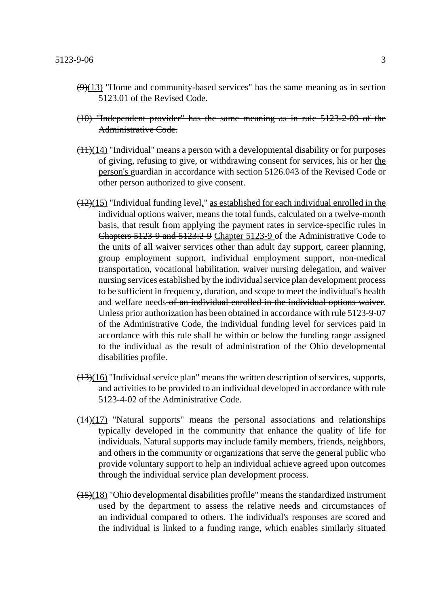- $\left(\frac{9}{13}\right)$  "Home and community-based services" has the same meaning as in section 5123.01 of the Revised Code.
- (10) "Independent provider" has the same meaning as in rule 5123-2-09 of the Administrative Code.
- $\left(\frac{11}{14}\right)$  "Individual" means a person with a developmental disability or for purposes of giving, refusing to give, or withdrawing consent for services, his or her the person's guardian in accordance with section 5126.043 of the Revised Code or other person authorized to give consent.
- $(12)(15)$  "Individual funding level," as established for each individual enrolled in the individual options waiver, means the total funds, calculated on a twelve-month basis, that result from applying the payment rates in service-specific rules in Chapters 5123-9 and 5123:2-9 Chapter 5123-9 of the Administrative Code to the units of all waiver services other than adult day support, career planning, group employment support, individual employment support, non-medical transportation, vocational habilitation, waiver nursing delegation, and waiver nursing services established by the individual service plan development process to be sufficient in frequency, duration, and scope to meet the individual's health and welfare needs of an individual enrolled in the individual options waiver. Unless prior authorization has been obtained in accordance with rule 5123-9-07 of the Administrative Code, the individual funding level for services paid in accordance with this rule shall be within or below the funding range assigned to the individual as the result of administration of the Ohio developmental disabilities profile.
- $(13)(16)$  "Individual service plan" means the written description of services, supports, and activities to be provided to an individual developed in accordance with rule 5123-4-02 of the Administrative Code.
- $\left(\frac{14}{17}\right)$  "Natural supports" means the personal associations and relationships typically developed in the community that enhance the quality of life for individuals. Natural supports may include family members, friends, neighbors, and others in the community or organizations that serve the general public who provide voluntary support to help an individual achieve agreed upon outcomes through the individual service plan development process.
- $\left(\frac{(15)(18)}{2}\right)$  "Ohio developmental disabilities profile" means the standardized instrument used by the department to assess the relative needs and circumstances of an individual compared to others. The individual's responses are scored and the individual is linked to a funding range, which enables similarly situated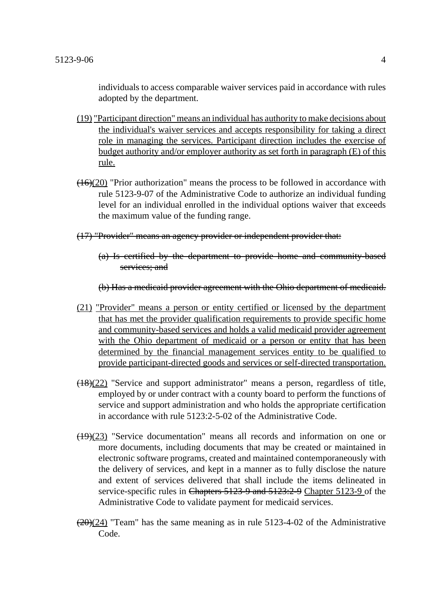individuals to access comparable waiver services paid in accordance with rules adopted by the department.

- (19) "Participant direction" means an individual has authority to make decisions about the individual's waiver services and accepts responsibility for taking a direct role in managing the services. Participant direction includes the exercise of budget authority and/or employer authority as set forth in paragraph (E) of this rule.
- $(16)(20)$  "Prior authorization" means the process to be followed in accordance with rule 5123-9-07 of the Administrative Code to authorize an individual funding level for an individual enrolled in the individual options waiver that exceeds the maximum value of the funding range.

#### (17) "Provider" means an agency provider or independent provider that:

(a) Is certified by the department to provide home and community-based services; and

(b) Has a medicaid provider agreement with the Ohio department of medicaid.

- (21) "Provider" means a person or entity certified or licensed by the department that has met the provider qualification requirements to provide specific home and community-based services and holds a valid medicaid provider agreement with the Ohio department of medicaid or a person or entity that has been determined by the financial management services entity to be qualified to provide participant-directed goods and services or self-directed transportation.
- $(18)(22)$  "Service and support administrator" means a person, regardless of title, employed by or under contract with a county board to perform the functions of service and support administration and who holds the appropriate certification in accordance with rule 5123:2-5-02 of the Administrative Code.
- $(19)(23)$  "Service documentation" means all records and information on one or more documents, including documents that may be created or maintained in electronic software programs, created and maintained contemporaneously with the delivery of services, and kept in a manner as to fully disclose the nature and extent of services delivered that shall include the items delineated in service-specific rules in Chapters 5123-9 and 5123:2-9 Chapter 5123-9 of the Administrative Code to validate payment for medicaid services.
- $(20)(24)$  "Team" has the same meaning as in rule 5123-4-02 of the Administrative Code.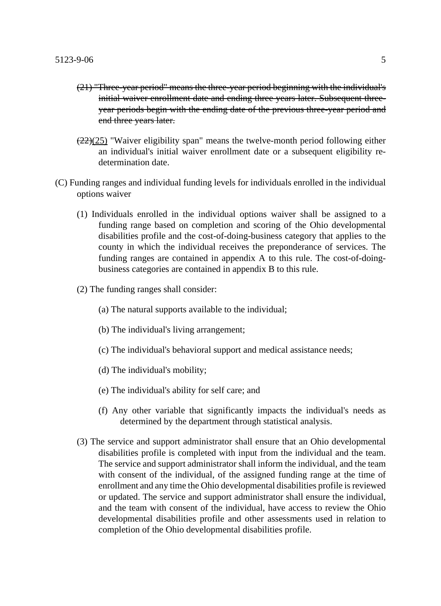- (21) "Three-year period" means the three-year period beginning with the individual's initial waiver enrollment date and ending three years later. Subsequent threeyear periods begin with the ending date of the previous three-year period and end three years later.
- $\left(\frac{22}{25}\right)$  "Waiver eligibility span" means the twelve-month period following either an individual's initial waiver enrollment date or a subsequent eligibility redetermination date.
- (C) Funding ranges and individual funding levels for individuals enrolled in the individual options waiver
	- (1) Individuals enrolled in the individual options waiver shall be assigned to a funding range based on completion and scoring of the Ohio developmental disabilities profile and the cost-of-doing-business category that applies to the county in which the individual receives the preponderance of services. The funding ranges are contained in appendix A to this rule. The cost-of-doingbusiness categories are contained in appendix B to this rule.
	- (2) The funding ranges shall consider:
		- (a) The natural supports available to the individual;
		- (b) The individual's living arrangement;
		- (c) The individual's behavioral support and medical assistance needs;
		- (d) The individual's mobility;
		- (e) The individual's ability for self care; and
		- (f) Any other variable that significantly impacts the individual's needs as determined by the department through statistical analysis.
	- (3) The service and support administrator shall ensure that an Ohio developmental disabilities profile is completed with input from the individual and the team. The service and support administrator shall inform the individual, and the team with consent of the individual, of the assigned funding range at the time of enrollment and any time the Ohio developmental disabilities profile is reviewed or updated. The service and support administrator shall ensure the individual, and the team with consent of the individual, have access to review the Ohio developmental disabilities profile and other assessments used in relation to completion of the Ohio developmental disabilities profile.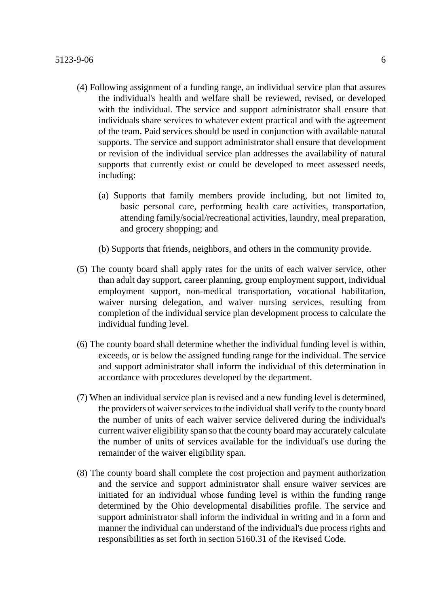- (4) Following assignment of a funding range, an individual service plan that assures the individual's health and welfare shall be reviewed, revised, or developed with the individual. The service and support administrator shall ensure that individuals share services to whatever extent practical and with the agreement of the team. Paid services should be used in conjunction with available natural supports. The service and support administrator shall ensure that development or revision of the individual service plan addresses the availability of natural supports that currently exist or could be developed to meet assessed needs, including:
	- (a) Supports that family members provide including, but not limited to, basic personal care, performing health care activities, transportation, attending family/social/recreational activities, laundry, meal preparation, and grocery shopping; and
	- (b) Supports that friends, neighbors, and others in the community provide.
- (5) The county board shall apply rates for the units of each waiver service, other than adult day support, career planning, group employment support, individual employment support, non-medical transportation, vocational habilitation, waiver nursing delegation, and waiver nursing services, resulting from completion of the individual service plan development process to calculate the individual funding level.
- (6) The county board shall determine whether the individual funding level is within, exceeds, or is below the assigned funding range for the individual. The service and support administrator shall inform the individual of this determination in accordance with procedures developed by the department.
- (7) When an individual service plan is revised and a new funding level is determined, the providers of waiver services to the individual shall verify to the county board the number of units of each waiver service delivered during the individual's current waiver eligibility span so that the county board may accurately calculate the number of units of services available for the individual's use during the remainder of the waiver eligibility span.
- (8) The county board shall complete the cost projection and payment authorization and the service and support administrator shall ensure waiver services are initiated for an individual whose funding level is within the funding range determined by the Ohio developmental disabilities profile. The service and support administrator shall inform the individual in writing and in a form and manner the individual can understand of the individual's due process rights and responsibilities as set forth in section 5160.31 of the Revised Code.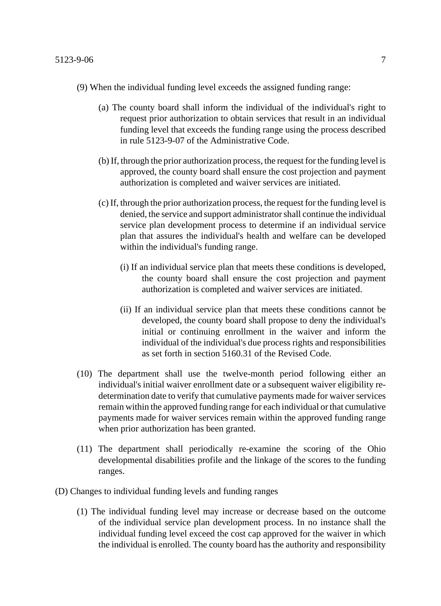- (9) When the individual funding level exceeds the assigned funding range:
	- (a) The county board shall inform the individual of the individual's right to request prior authorization to obtain services that result in an individual funding level that exceeds the funding range using the process described in rule 5123-9-07 of the Administrative Code.
	- (b) If, through the prior authorization process, the request for the funding level is approved, the county board shall ensure the cost projection and payment authorization is completed and waiver services are initiated.
	- (c) If, through the prior authorization process, the request for the funding level is denied, the service and support administrator shall continue the individual service plan development process to determine if an individual service plan that assures the individual's health and welfare can be developed within the individual's funding range.
		- (i) If an individual service plan that meets these conditions is developed, the county board shall ensure the cost projection and payment authorization is completed and waiver services are initiated.
		- (ii) If an individual service plan that meets these conditions cannot be developed, the county board shall propose to deny the individual's initial or continuing enrollment in the waiver and inform the individual of the individual's due process rights and responsibilities as set forth in section 5160.31 of the Revised Code.
- (10) The department shall use the twelve-month period following either an individual's initial waiver enrollment date or a subsequent waiver eligibility redetermination date to verify that cumulative payments made for waiver services remain within the approved funding range for each individual or that cumulative payments made for waiver services remain within the approved funding range when prior authorization has been granted.
- (11) The department shall periodically re-examine the scoring of the Ohio developmental disabilities profile and the linkage of the scores to the funding ranges.
- (D) Changes to individual funding levels and funding ranges
	- (1) The individual funding level may increase or decrease based on the outcome of the individual service plan development process. In no instance shall the individual funding level exceed the cost cap approved for the waiver in which the individual is enrolled. The county board has the authority and responsibility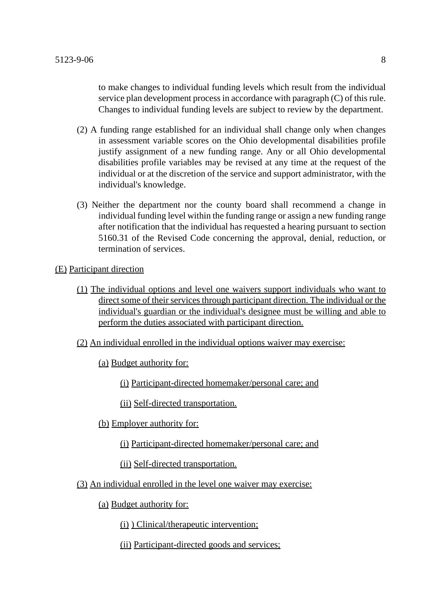to make changes to individual funding levels which result from the individual service plan development process in accordance with paragraph (C) of this rule. Changes to individual funding levels are subject to review by the department.

- (2) A funding range established for an individual shall change only when changes in assessment variable scores on the Ohio developmental disabilities profile justify assignment of a new funding range. Any or all Ohio developmental disabilities profile variables may be revised at any time at the request of the individual or at the discretion of the service and support administrator, with the individual's knowledge.
- (3) Neither the department nor the county board shall recommend a change in individual funding level within the funding range or assign a new funding range after notification that the individual has requested a hearing pursuant to section 5160.31 of the Revised Code concerning the approval, denial, reduction, or termination of services.

(E) Participant direction

- (1) The individual options and level one waivers support individuals who want to direct some of their services through participant direction. The individual or the individual's guardian or the individual's designee must be willing and able to perform the duties associated with participant direction.
- (2) An individual enrolled in the individual options waiver may exercise:
	- (a) Budget authority for:
		- (i) Participant-directed homemaker/personal care; and

(ii) Self-directed transportation.

- (b) Employer authority for:
	- (i) Participant-directed homemaker/personal care; and
	- (ii) Self-directed transportation.
- (3) An individual enrolled in the level one waiver may exercise:
	- (a) Budget authority for:
		- (i) ) Clinical/therapeutic intervention;
		- (ii) Participant-directed goods and services;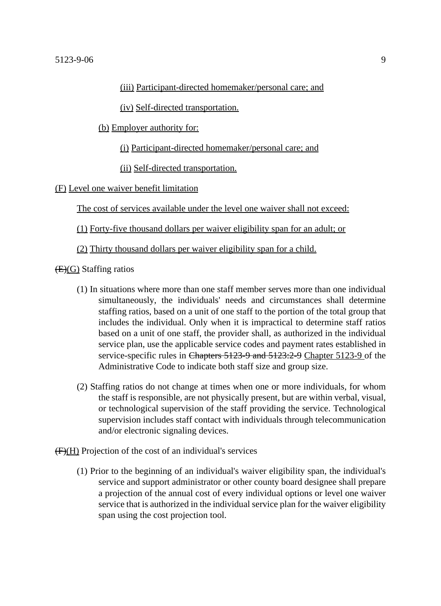(iv) Self-directed transportation.

(b) Employer authority for:

(i) Participant-directed homemaker/personal care; and

(ii) Self-directed transportation.

(F) Level one waiver benefit limitation

The cost of services available under the level one waiver shall not exceed:

(1) Forty-five thousand dollars per waiver eligibility span for an adult; or

(2) Thirty thousand dollars per waiver eligibility span for a child.

 $(E)(G)$  Staffing ratios

- (1) In situations where more than one staff member serves more than one individual simultaneously, the individuals' needs and circumstances shall determine staffing ratios, based on a unit of one staff to the portion of the total group that includes the individual. Only when it is impractical to determine staff ratios based on a unit of one staff, the provider shall, as authorized in the individual service plan, use the applicable service codes and payment rates established in service-specific rules in Chapters 5123-9 and 5123:2-9 Chapter 5123-9 of the Administrative Code to indicate both staff size and group size.
- (2) Staffing ratios do not change at times when one or more individuals, for whom the staff is responsible, are not physically present, but are within verbal, visual, or technological supervision of the staff providing the service. Technological supervision includes staff contact with individuals through telecommunication and/or electronic signaling devices.
- (F)(H) Projection of the cost of an individual's services
	- (1) Prior to the beginning of an individual's waiver eligibility span, the individual's service and support administrator or other county board designee shall prepare a projection of the annual cost of every individual options or level one waiver service that is authorized in the individual service plan for the waiver eligibility span using the cost projection tool.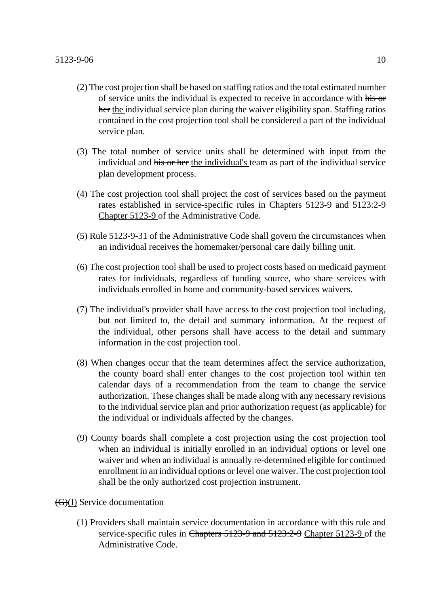- (2) The cost projection shall be based on staffing ratios and the total estimated number of service units the individual is expected to receive in accordance with his or her the individual service plan during the waiver eligibility span. Staffing ratios contained in the cost projection tool shall be considered a part of the individual service plan.
- (3) The total number of service units shall be determined with input from the individual and his or her the individual's team as part of the individual service plan development process.
- (4) The cost projection tool shall project the cost of services based on the payment rates established in service-specific rules in Chapters 5123-9 and 5123:2-9 Chapter 5123-9 of the Administrative Code.
- (5) Rule 5123-9-31 of the Administrative Code shall govern the circumstances when an individual receives the homemaker/personal care daily billing unit.
- (6) The cost projection tool shall be used to project costs based on medicaid payment rates for individuals, regardless of funding source, who share services with individuals enrolled in home and community-based services waivers.
- (7) The individual's provider shall have access to the cost projection tool including, but not limited to, the detail and summary information. At the request of the individual, other persons shall have access to the detail and summary information in the cost projection tool.
- (8) When changes occur that the team determines affect the service authorization, the county board shall enter changes to the cost projection tool within ten calendar days of a recommendation from the team to change the service authorization. These changes shall be made along with any necessary revisions to the individual service plan and prior authorization request (as applicable) for the individual or individuals affected by the changes.
- (9) County boards shall complete a cost projection using the cost projection tool when an individual is initially enrolled in an individual options or level one waiver and when an individual is annually re-determined eligible for continued enrollment in an individual options or level one waiver. The cost projection tool shall be the only authorized cost projection instrument.
- (G)(I) Service documentation
	- (1) Providers shall maintain service documentation in accordance with this rule and service-specific rules in Chapters 5123-9 and 5123:2-9 Chapter 5123-9 of the Administrative Code.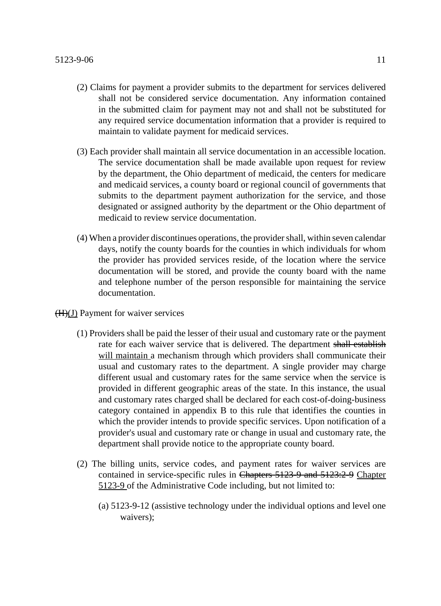- (2) Claims for payment a provider submits to the department for services delivered shall not be considered service documentation. Any information contained in the submitted claim for payment may not and shall not be substituted for any required service documentation information that a provider is required to maintain to validate payment for medicaid services.
- (3) Each provider shall maintain all service documentation in an accessible location. The service documentation shall be made available upon request for review by the department, the Ohio department of medicaid, the centers for medicare and medicaid services, a county board or regional council of governments that submits to the department payment authorization for the service, and those designated or assigned authority by the department or the Ohio department of medicaid to review service documentation.
- (4) When a provider discontinues operations, the provider shall, within seven calendar days, notify the county boards for the counties in which individuals for whom the provider has provided services reside, of the location where the service documentation will be stored, and provide the county board with the name and telephone number of the person responsible for maintaining the service documentation.
- (H)(J) Payment for waiver services
	- (1) Providers shall be paid the lesser of their usual and customary rate or the payment rate for each waiver service that is delivered. The department shall establish will maintain a mechanism through which providers shall communicate their usual and customary rates to the department. A single provider may charge different usual and customary rates for the same service when the service is provided in different geographic areas of the state. In this instance, the usual and customary rates charged shall be declared for each cost-of-doing-business category contained in appendix B to this rule that identifies the counties in which the provider intends to provide specific services. Upon notification of a provider's usual and customary rate or change in usual and customary rate, the department shall provide notice to the appropriate county board.
	- (2) The billing units, service codes, and payment rates for waiver services are contained in service-specific rules in Chapters 5123-9 and 5123:2-9 Chapter 5123-9 of the Administrative Code including, but not limited to:
		- (a) 5123-9-12 (assistive technology under the individual options and level one waivers);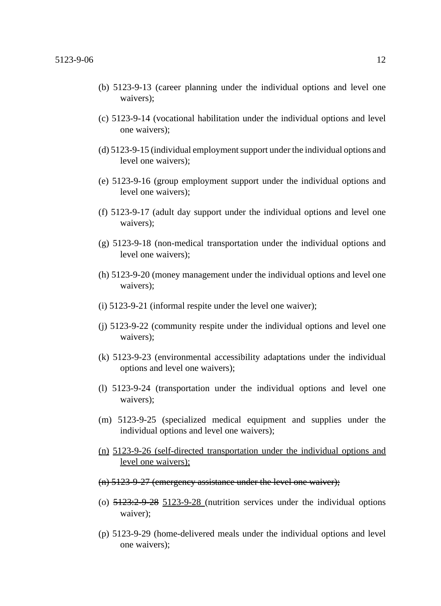- (b) 5123-9-13 (career planning under the individual options and level one waivers);
- (c) 5123-9-14 (vocational habilitation under the individual options and level one waivers);
- (d) 5123-9-15 (individual employment support under the individual options and level one waivers);
- (e) 5123-9-16 (group employment support under the individual options and level one waivers);
- (f) 5123-9-17 (adult day support under the individual options and level one waivers);
- (g) 5123-9-18 (non-medical transportation under the individual options and level one waivers);
- (h) 5123-9-20 (money management under the individual options and level one waivers);
- (i) 5123-9-21 (informal respite under the level one waiver);
- (j) 5123-9-22 (community respite under the individual options and level one waivers);
- (k) 5123-9-23 (environmental accessibility adaptations under the individual options and level one waivers);
- (l) 5123-9-24 (transportation under the individual options and level one waivers);
- (m) 5123-9-25 (specialized medical equipment and supplies under the individual options and level one waivers);
- (n) 5123-9-26 (self-directed transportation under the individual options and level one waivers);
- (n) 5123-9-27 (emergency assistance under the level one waiver);
- (o)  $\frac{5123.2-9-28}{2}$  5123-9-28 (nutrition services under the individual options waiver);
- (p) 5123-9-29 (home-delivered meals under the individual options and level one waivers);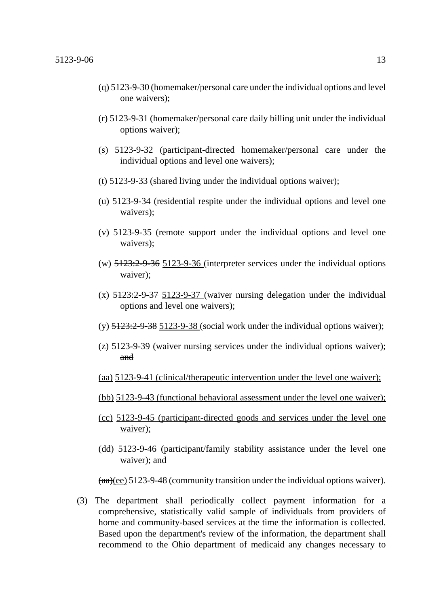- (q) 5123-9-30 (homemaker/personal care under the individual options and level one waivers);
- (r) 5123-9-31 (homemaker/personal care daily billing unit under the individual options waiver);
- (s) 5123-9-32 (participant-directed homemaker/personal care under the individual options and level one waivers);
- (t) 5123-9-33 (shared living under the individual options waiver);
- (u) 5123-9-34 (residential respite under the individual options and level one waivers);
- (v) 5123-9-35 (remote support under the individual options and level one waivers);
- (w)  $5123:2-9-36$   $5123-9-36$  (interpreter services under the individual options waiver);
- $(x)$  5123:2-9-37 5123-9-37 (waiver nursing delegation under the individual options and level one waivers);
- (y)  $\frac{5123:2-9-38}{2}$  5123-9-38 (social work under the individual options waiver);
- (z) 5123-9-39 (waiver nursing services under the individual options waiver); and
- (aa) 5123-9-41 (clinical/therapeutic intervention under the level one waiver);
- (bb) 5123-9-43 (functional behavioral assessment under the level one waiver);
- (cc) 5123-9-45 (participant-directed goods and services under the level one waiver);
- (dd) 5123-9-46 (participant/family stability assistance under the level one waiver); and

 $(aa)(ee)$  5123-9-48 (community transition under the individual options waiver).

(3) The department shall periodically collect payment information for a comprehensive, statistically valid sample of individuals from providers of home and community-based services at the time the information is collected. Based upon the department's review of the information, the department shall recommend to the Ohio department of medicaid any changes necessary to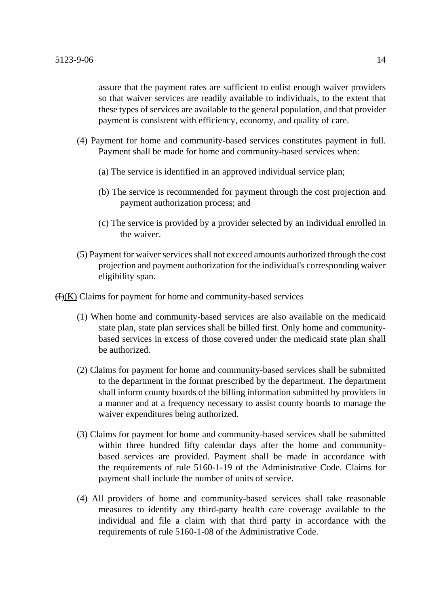assure that the payment rates are sufficient to enlist enough waiver providers so that waiver services are readily available to individuals, to the extent that these types of services are available to the general population, and that provider payment is consistent with efficiency, economy, and quality of care.

- (4) Payment for home and community-based services constitutes payment in full. Payment shall be made for home and community-based services when:
	- (a) The service is identified in an approved individual service plan;
	- (b) The service is recommended for payment through the cost projection and payment authorization process; and
	- (c) The service is provided by a provider selected by an individual enrolled in the waiver.
- (5) Payment for waiver services shall not exceed amounts authorized through the cost projection and payment authorization for the individual's corresponding waiver eligibility span.

 $H(K)$  Claims for payment for home and community-based services

- (1) When home and community-based services are also available on the medicaid state plan, state plan services shall be billed first. Only home and communitybased services in excess of those covered under the medicaid state plan shall be authorized.
- (2) Claims for payment for home and community-based services shall be submitted to the department in the format prescribed by the department. The department shall inform county boards of the billing information submitted by providers in a manner and at a frequency necessary to assist county boards to manage the waiver expenditures being authorized.
- (3) Claims for payment for home and community-based services shall be submitted within three hundred fifty calendar days after the home and communitybased services are provided. Payment shall be made in accordance with the requirements of rule 5160-1-19 of the Administrative Code. Claims for payment shall include the number of units of service.
- (4) All providers of home and community-based services shall take reasonable measures to identify any third-party health care coverage available to the individual and file a claim with that third party in accordance with the requirements of rule 5160-1-08 of the Administrative Code.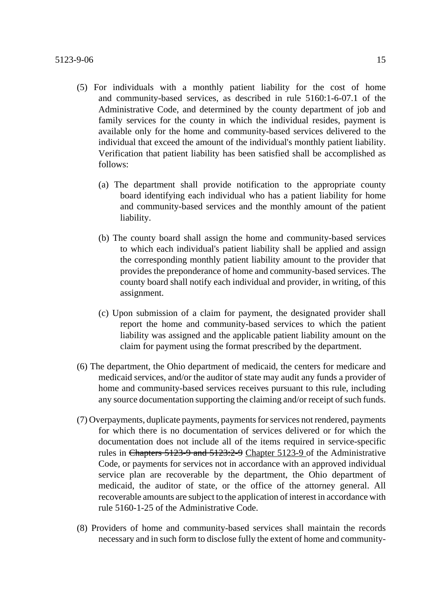- (5) For individuals with a monthly patient liability for the cost of home and community-based services, as described in rule 5160:1-6-07.1 of the Administrative Code, and determined by the county department of job and family services for the county in which the individual resides, payment is available only for the home and community-based services delivered to the individual that exceed the amount of the individual's monthly patient liability. Verification that patient liability has been satisfied shall be accomplished as follows:
	- (a) The department shall provide notification to the appropriate county board identifying each individual who has a patient liability for home and community-based services and the monthly amount of the patient liability.
	- (b) The county board shall assign the home and community-based services to which each individual's patient liability shall be applied and assign the corresponding monthly patient liability amount to the provider that provides the preponderance of home and community-based services. The county board shall notify each individual and provider, in writing, of this assignment.
	- (c) Upon submission of a claim for payment, the designated provider shall report the home and community-based services to which the patient liability was assigned and the applicable patient liability amount on the claim for payment using the format prescribed by the department.
- (6) The department, the Ohio department of medicaid, the centers for medicare and medicaid services, and/or the auditor of state may audit any funds a provider of home and community-based services receives pursuant to this rule, including any source documentation supporting the claiming and/or receipt of such funds.
- (7) Overpayments, duplicate payments, payments for services not rendered, payments for which there is no documentation of services delivered or for which the documentation does not include all of the items required in service-specific rules in Chapters 5123-9 and 5123:2-9 Chapter 5123-9 of the Administrative Code, or payments for services not in accordance with an approved individual service plan are recoverable by the department, the Ohio department of medicaid, the auditor of state, or the office of the attorney general. All recoverable amounts are subject to the application of interest in accordance with rule 5160-1-25 of the Administrative Code.
- (8) Providers of home and community-based services shall maintain the records necessary and in such form to disclose fully the extent of home and community-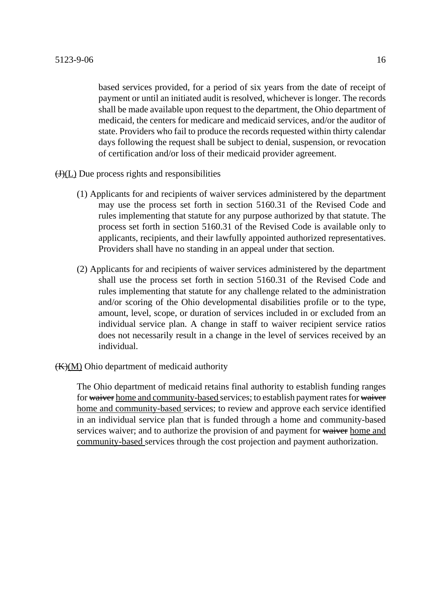based services provided, for a period of six years from the date of receipt of payment or until an initiated audit is resolved, whichever is longer. The records shall be made available upon request to the department, the Ohio department of medicaid, the centers for medicare and medicaid services, and/or the auditor of state. Providers who fail to produce the records requested within thirty calendar days following the request shall be subject to denial, suspension, or revocation of certification and/or loss of their medicaid provider agreement.

 $\overline{(J)(L)}$  Due process rights and responsibilities

- (1) Applicants for and recipients of waiver services administered by the department may use the process set forth in section 5160.31 of the Revised Code and rules implementing that statute for any purpose authorized by that statute. The process set forth in section 5160.31 of the Revised Code is available only to applicants, recipients, and their lawfully appointed authorized representatives. Providers shall have no standing in an appeal under that section.
- (2) Applicants for and recipients of waiver services administered by the department shall use the process set forth in section 5160.31 of the Revised Code and rules implementing that statute for any challenge related to the administration and/or scoring of the Ohio developmental disabilities profile or to the type, amount, level, scope, or duration of services included in or excluded from an individual service plan. A change in staff to waiver recipient service ratios does not necessarily result in a change in the level of services received by an individual.
- $(K)(M)$  Ohio department of medicaid authority

The Ohio department of medicaid retains final authority to establish funding ranges for waiver home and community-based services; to establish payment rates for waiver home and community-based services; to review and approve each service identified in an individual service plan that is funded through a home and community-based services waiver; and to authorize the provision of and payment for waiver home and community-based services through the cost projection and payment authorization.